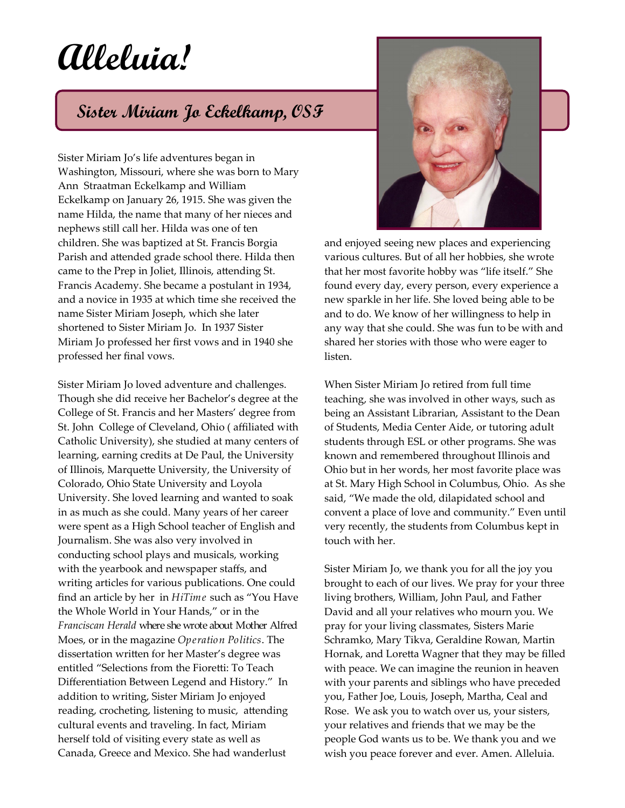## **Alleluia!**

## **Sister Miriam Jo Eckelkamp, OSF**

Sister Miriam Jo's life adventures began in Washington, Missouri, where she was born to Mary Ann Straatman Eckelkamp and William Eckelkamp on January 26, 1915. She was given the name Hilda, the name that many of her nieces and nephews still call her. Hilda was one of ten children. She was baptized at St. Francis Borgia Parish and attended grade school there. Hilda then came to the Prep in Joliet, Illinois, attending St. Francis Academy. She became a postulant in 1934, and a novice in 1935 at which time she received the name Sister Miriam Joseph, which she later shortened to Sister Miriam Jo. In 1937 Sister Miriam Jo professed her first vows and in 1940 she professed her final vows.

Sister Miriam Jo loved adventure and challenges. Though she did receive her Bachelor's degree at the College of St. Francis and her Masters' degree from St. John College of Cleveland, Ohio ( affiliated with Catholic University), she studied at many centers of learning, earning credits at De Paul, the University of Illinois, Marquette University, the University of Colorado, Ohio State University and Loyola University. She loved learning and wanted to soak in as much as she could. Many years of her career were spent as a High School teacher of English and Journalism. She was also very involved in conducting school plays and musicals, working with the yearbook and newspaper staffs, and writing articles for various publications. One could find an article by her in *HiTime* such as "You Have the Whole World in Your Hands," or in the *Franciscan Herald* where she wrote about Mother Alfred Moes, or in the magazine *Operation Politics*. The dissertation written for her Master's degree was entitled "Selections from the Fioretti: To Teach Differentiation Between Legend and History." In addition to writing, Sister Miriam Jo enjoyed reading, crocheting, listening to music, attending cultural events and traveling. In fact, Miriam herself told of visiting every state as well as Canada, Greece and Mexico. She had wanderlust



and enjoyed seeing new places and experiencing various cultures. But of all her hobbies, she wrote that her most favorite hobby was "life itself." She found every day, every person, every experience a new sparkle in her life. She loved being able to be and to do. We know of her willingness to help in any way that she could. She was fun to be with and shared her stories with those who were eager to listen.

When Sister Miriam Jo retired from full time teaching, she was involved in other ways, such as being an Assistant Librarian, Assistant to the Dean of Students, Media Center Aide, or tutoring adult students through ESL or other programs. She was known and remembered throughout Illinois and Ohio but in her words, her most favorite place was at St. Mary High School in Columbus, Ohio. As she said, "We made the old, dilapidated school and convent a place of love and community." Even until very recently, the students from Columbus kept in touch with her.

Sister Miriam Jo, we thank you for all the joy you brought to each of our lives. We pray for your three living brothers, William, John Paul, and Father David and all your relatives who mourn you. We pray for your living classmates, Sisters Marie Schramko, Mary Tikva, Geraldine Rowan, Martin Hornak, and Loretta Wagner that they may be filled with peace. We can imagine the reunion in heaven with your parents and siblings who have preceded you, Father Joe, Louis, Joseph, Martha, Ceal and Rose. We ask you to watch over us, your sisters, your relatives and friends that we may be the people God wants us to be. We thank you and we wish you peace forever and ever. Amen. Alleluia.